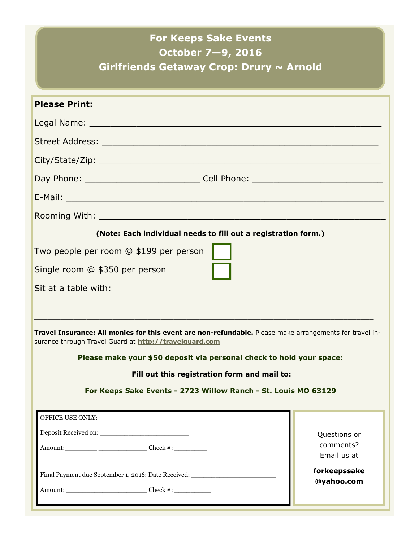## **For Keeps Sake Events October 7—9, 2016**

**Girlfriends Getaway Crop: Drury ~ Arnold**

| <b>Please Print:</b>                                                                                                                                              |                           |  |
|-------------------------------------------------------------------------------------------------------------------------------------------------------------------|---------------------------|--|
|                                                                                                                                                                   |                           |  |
|                                                                                                                                                                   |                           |  |
|                                                                                                                                                                   |                           |  |
|                                                                                                                                                                   |                           |  |
|                                                                                                                                                                   |                           |  |
|                                                                                                                                                                   |                           |  |
|                                                                                                                                                                   |                           |  |
| (Note: Each individual needs to fill out a registration form.)                                                                                                    |                           |  |
| Two people per room @ \$199 per person                                                                                                                            |                           |  |
| Single room @ \$350 per person                                                                                                                                    |                           |  |
| Sit at a table with:                                                                                                                                              |                           |  |
|                                                                                                                                                                   |                           |  |
| Travel Insurance: All monies for this event are non-refundable. Please make arrangements for travel in-<br>surance through Travel Guard at http://travelguard.com |                           |  |
| Please make your \$50 deposit via personal check to hold your space:                                                                                              |                           |  |
| Fill out this registration form and mail to:                                                                                                                      |                           |  |
| For Keeps Sake Events - 2723 Willow Ranch - St. Louis MO 63129                                                                                                    |                           |  |
| OFFICE USE ONLY:                                                                                                                                                  |                           |  |
|                                                                                                                                                                   |                           |  |
|                                                                                                                                                                   | Questions or<br>comments? |  |
|                                                                                                                                                                   | Email us at               |  |
| Final Payment due September 1, 2016: Date Received: ____________________________                                                                                  | forkeepssake              |  |
|                                                                                                                                                                   | @yahoo.com                |  |